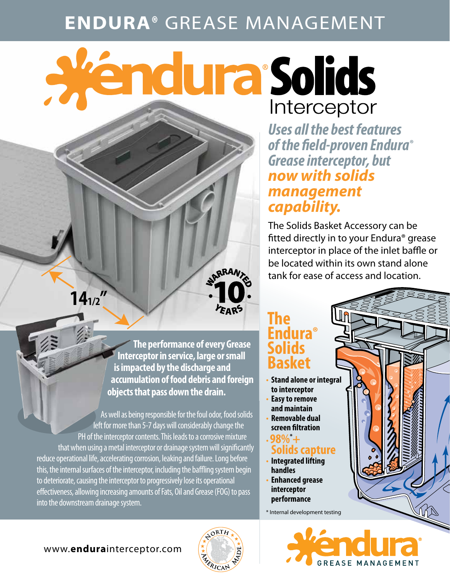## **ENDURA®** GREASE MANAGEMENT

ARRAN

**FARS** 

# a Péndura Solids Interceptor

*Uses all the best features of the field-proven Endura® Grease interceptor, but now with solids management capability.*

The Solids Basket Accessory can be fitted directly in to your Endura® grease interceptor in place of the inlet baffle or be located within its own stand alone tank for ease of access and location.

 **The performance of every Grease Interceptor in service, large or small is impacted by the discharge and accumulation of food debris and foreign objects that pass down the drain.**

As well as being responsible for the foul odor, food solids left for more than 5-7 days will considerably change the PH of the interceptor contents. This leads to a corrosive mixture that when using a metal interceptor or drainage system will significantly reduce operational life, accelerating corrosion, leaking and failure. Long before this, the internal surfaces of the interceptor, including the baffling system begin to deteriorate, causing the interceptor to progressively lose its operational effectiveness, allowing increasing amounts of Fats, Oil and Grease (FOG) to pass into the downstream drainage system.

### **The Endura® Solids Basket**

- **Stand alone or integral to interceptor**
- **Easy to remove and maintain**
- **Removable dual screen filtration**

#### $\cdot$ **98%** + **Solids capture**

- **Integrated lifting handles**
- **Enhanced grease interceptor performance**

\* Internal development testing



#### www.**endura**interceptor.com

**141/2**

**"**